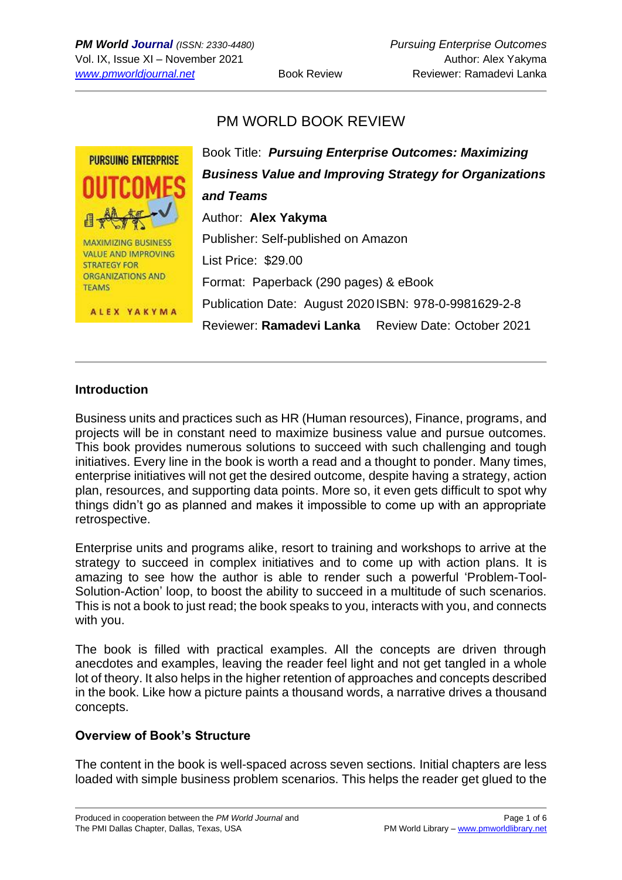# PM WORLD BOOK REVIEW



#### **Introduction**

Business units and practices such as HR (Human resources), Finance, programs, and projects will be in constant need to maximize business value and pursue outcomes. This book provides numerous solutions to succeed with such challenging and tough initiatives. Every line in the book is worth a read and a thought to ponder. Many times, enterprise initiatives will not get the desired outcome, despite having a strategy, action plan, resources, and supporting data points. More so, it even gets difficult to spot why things didn't go as planned and makes it impossible to come up with an appropriate retrospective.

Enterprise units and programs alike, resort to training and workshops to arrive at the strategy to succeed in complex initiatives and to come up with action plans. It is amazing to see how the author is able to render such a powerful 'Problem-Tool-Solution-Action' loop, to boost the ability to succeed in a multitude of such scenarios. This is not a book to just read; the book speaks to you, interacts with you, and connects with you.

The book is filled with practical examples. All the concepts are driven through anecdotes and examples, leaving the reader feel light and not get tangled in a whole lot of theory. It also helps in the higher retention of approaches and concepts described in the book. Like how a picture paints a thousand words, a narrative drives a thousand concepts.

#### **Overview of Book's Structure**

The content in the book is well-spaced across seven sections. Initial chapters are less loaded with simple business problem scenarios. This helps the reader get glued to the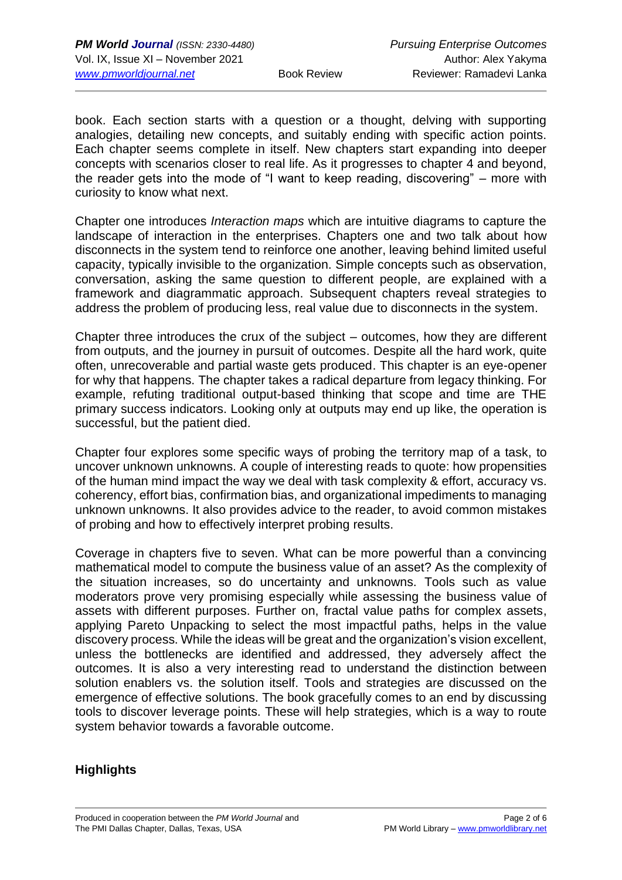book. Each section starts with a question or a thought, delving with supporting analogies, detailing new concepts, and suitably ending with specific action points. Each chapter seems complete in itself. New chapters start expanding into deeper concepts with scenarios closer to real life. As it progresses to chapter 4 and beyond, the reader gets into the mode of "I want to keep reading, discovering" – more with curiosity to know what next.

Chapter one introduces *Interaction maps* which are intuitive diagrams to capture the landscape of interaction in the enterprises. Chapters one and two talk about how disconnects in the system tend to reinforce one another, leaving behind limited useful capacity, typically invisible to the organization. Simple concepts such as observation, conversation, asking the same question to different people, are explained with a framework and diagrammatic approach. Subsequent chapters reveal strategies to address the problem of producing less, real value due to disconnects in the system.

Chapter three introduces the crux of the subject – outcomes, how they are different from outputs, and the journey in pursuit of outcomes. Despite all the hard work, quite often, unrecoverable and partial waste gets produced. This chapter is an eye-opener for why that happens. The chapter takes a radical departure from legacy thinking. For example, refuting traditional output-based thinking that scope and time are THE primary success indicators. Looking only at outputs may end up like, the operation is successful, but the patient died.

Chapter four explores some specific ways of probing the territory map of a task, to uncover unknown unknowns. A couple of interesting reads to quote: how propensities of the human mind impact the way we deal with task complexity & effort, accuracy vs. coherency, effort bias, confirmation bias, and organizational impediments to managing unknown unknowns. It also provides advice to the reader, to avoid common mistakes of probing and how to effectively interpret probing results.

Coverage in chapters five to seven. What can be more powerful than a convincing mathematical model to compute the business value of an asset? As the complexity of the situation increases, so do uncertainty and unknowns. Tools such as value moderators prove very promising especially while assessing the business value of assets with different purposes. Further on, fractal value paths for complex assets, applying Pareto Unpacking to select the most impactful paths, helps in the value discovery process. While the ideas will be great and the organization's vision excellent, unless the bottlenecks are identified and addressed, they adversely affect the outcomes. It is also a very interesting read to understand the distinction between solution enablers vs. the solution itself. Tools and strategies are discussed on the emergence of effective solutions. The book gracefully comes to an end by discussing tools to discover leverage points. These will help strategies, which is a way to route system behavior towards a favorable outcome.

## **Highlights**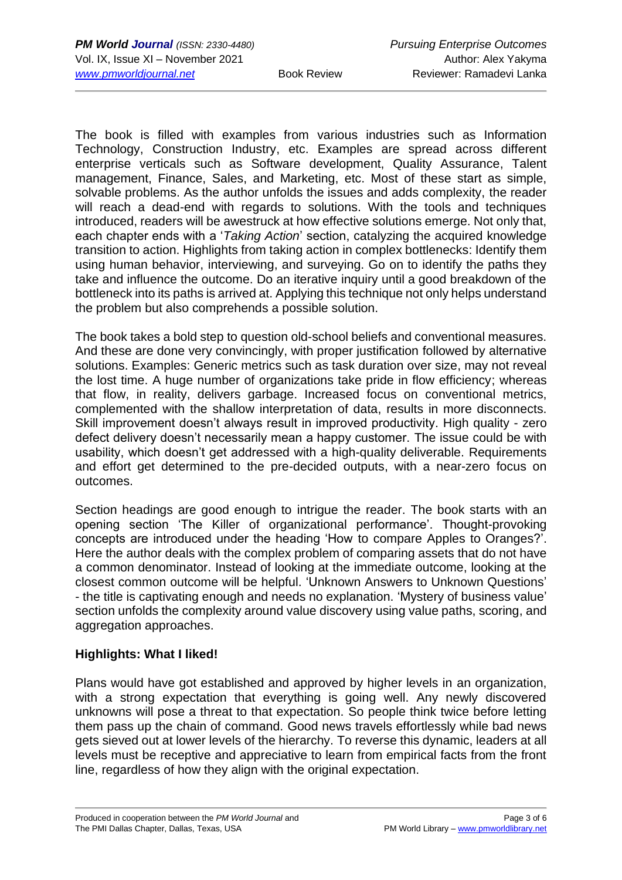The book is filled with examples from various industries such as Information Technology, Construction Industry, etc. Examples are spread across different enterprise verticals such as Software development, Quality Assurance, Talent management, Finance, Sales, and Marketing, etc. Most of these start as simple, solvable problems. As the author unfolds the issues and adds complexity, the reader will reach a dead-end with regards to solutions. With the tools and techniques introduced, readers will be awestruck at how effective solutions emerge. Not only that, each chapter ends with a '*Taking Action*' section, catalyzing the acquired knowledge transition to action. Highlights from taking action in complex bottlenecks: Identify them using human behavior, interviewing, and surveying. Go on to identify the paths they take and influence the outcome. Do an iterative inquiry until a good breakdown of the bottleneck into its paths is arrived at. Applying this technique not only helps understand the problem but also comprehends a possible solution.

The book takes a bold step to question old-school beliefs and conventional measures. And these are done very convincingly, with proper justification followed by alternative solutions. Examples: Generic metrics such as task duration over size, may not reveal the lost time. A huge number of organizations take pride in flow efficiency; whereas that flow, in reality, delivers garbage. Increased focus on conventional metrics, complemented with the shallow interpretation of data, results in more disconnects. Skill improvement doesn't always result in improved productivity. High quality - zero defect delivery doesn't necessarily mean a happy customer. The issue could be with usability, which doesn't get addressed with a high-quality deliverable. Requirements and effort get determined to the pre-decided outputs, with a near-zero focus on outcomes.

Section headings are good enough to intrigue the reader. The book starts with an opening section 'The Killer of organizational performance'. Thought-provoking concepts are introduced under the heading 'How to compare Apples to Oranges?'. Here the author deals with the complex problem of comparing assets that do not have a common denominator. Instead of looking at the immediate outcome, looking at the closest common outcome will be helpful. 'Unknown Answers to Unknown Questions' - the title is captivating enough and needs no explanation. 'Mystery of business value' section unfolds the complexity around value discovery using value paths, scoring, and aggregation approaches.

## **Highlights: What I liked!**

Plans would have got established and approved by higher levels in an organization, with a strong expectation that everything is going well. Any newly discovered unknowns will pose a threat to that expectation. So people think twice before letting them pass up the chain of command. Good news travels effortlessly while bad news gets sieved out at lower levels of the hierarchy. To reverse this dynamic, leaders at all levels must be receptive and appreciative to learn from empirical facts from the front line, regardless of how they align with the original expectation.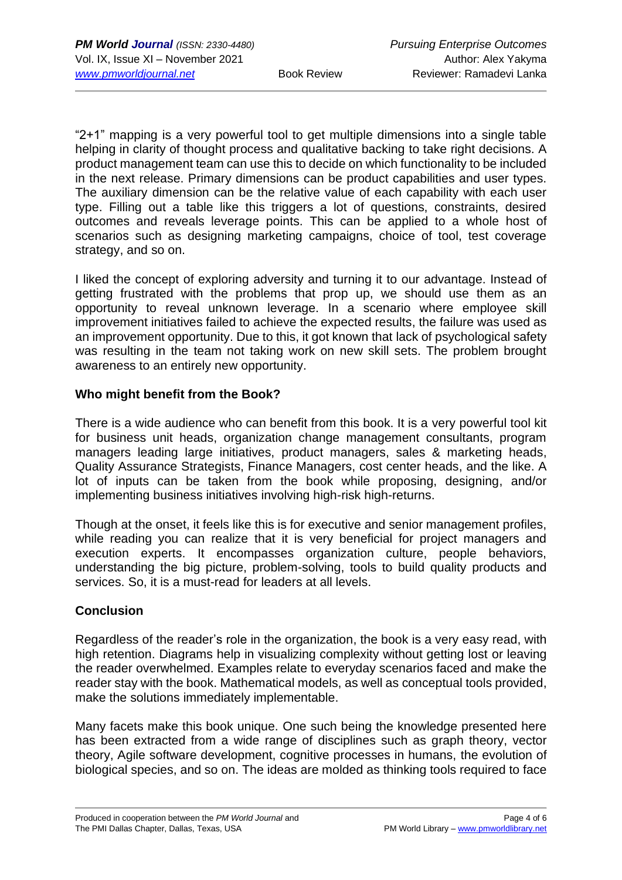"2+1" mapping is a very powerful tool to get multiple dimensions into a single table helping in clarity of thought process and qualitative backing to take right decisions. A product management team can use this to decide on which functionality to be included in the next release. Primary dimensions can be product capabilities and user types. The auxiliary dimension can be the relative value of each capability with each user type. Filling out a table like this triggers a lot of questions, constraints, desired outcomes and reveals leverage points. This can be applied to a whole host of scenarios such as designing marketing campaigns, choice of tool, test coverage strategy, and so on.

I liked the concept of exploring adversity and turning it to our advantage. Instead of getting frustrated with the problems that prop up, we should use them as an opportunity to reveal unknown leverage. In a scenario where employee skill improvement initiatives failed to achieve the expected results, the failure was used as an improvement opportunity. Due to this, it got known that lack of psychological safety was resulting in the team not taking work on new skill sets. The problem brought awareness to an entirely new opportunity.

#### **Who might benefit from the Book?**

There is a wide audience who can benefit from this book. It is a very powerful tool kit for business unit heads, organization change management consultants, program managers leading large initiatives, product managers, sales & marketing heads, Quality Assurance Strategists, Finance Managers, cost center heads, and the like. A lot of inputs can be taken from the book while proposing, designing, and/or implementing business initiatives involving high-risk high-returns.

Though at the onset, it feels like this is for executive and senior management profiles, while reading you can realize that it is very beneficial for project managers and execution experts. It encompasses organization culture, people behaviors, understanding the big picture, problem-solving, tools to build quality products and services. So, it is a must-read for leaders at all levels.

## **Conclusion**

Regardless of the reader's role in the organization, the book is a very easy read, with high retention. Diagrams help in visualizing complexity without getting lost or leaving the reader overwhelmed. Examples relate to everyday scenarios faced and make the reader stay with the book. Mathematical models, as well as conceptual tools provided, make the solutions immediately implementable.

Many facets make this book unique. One such being the knowledge presented here has been extracted from a wide range of disciplines such as graph theory, vector theory, Agile software development, cognitive processes in humans, the evolution of biological species, and so on. The ideas are molded as thinking tools required to face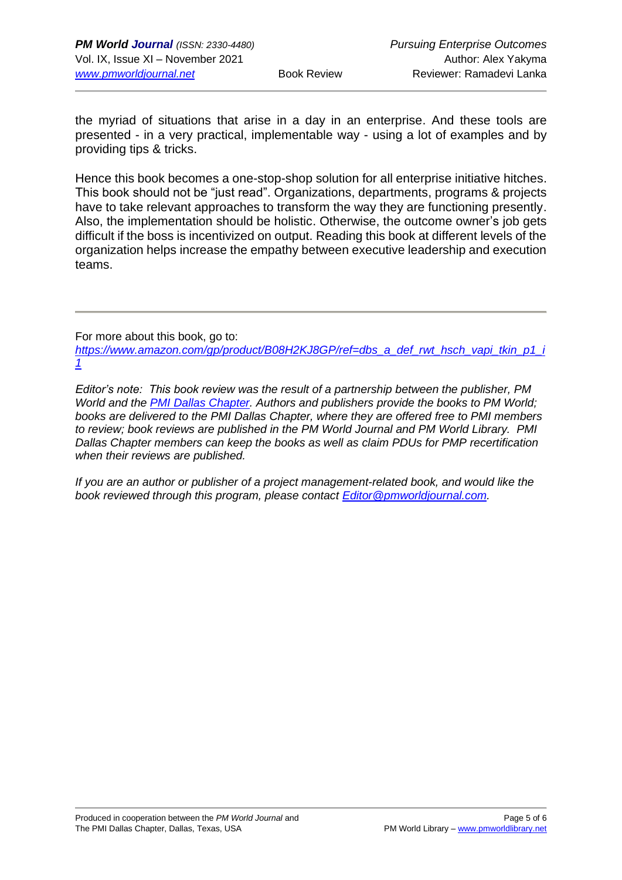the myriad of situations that arise in a day in an enterprise. And these tools are presented - in a very practical, implementable way - using a lot of examples and by providing tips & tricks.

Hence this book becomes a one-stop-shop solution for all enterprise initiative hitches. This book should not be "just read". Organizations, departments, programs & projects have to take relevant approaches to transform the way they are functioning presently. Also, the implementation should be holistic. Otherwise, the outcome owner's job gets difficult if the boss is incentivized on output. Reading this book at different levels of the organization helps increase the empathy between executive leadership and execution teams.

For more about this book, go to:

*[https://www.amazon.com/gp/product/B08H2KJ8GP/ref=dbs\\_a\\_def\\_rwt\\_hsch\\_vapi\\_tkin\\_p1\\_i](https://www.amazon.com/gp/product/B08H2KJ8GP/ref=dbs_a_def_rwt_hsch_vapi_tkin_p1_i1) [1](https://www.amazon.com/gp/product/B08H2KJ8GP/ref=dbs_a_def_rwt_hsch_vapi_tkin_p1_i1)*

*Editor's note: This book review was the result of a partnership between the publisher, PM World and the [PMI Dallas Chapter.](http://www.pmidallas.org/) Authors and publishers provide the books to PM World; books are delivered to the PMI Dallas Chapter, where they are offered free to PMI members to review; book reviews are published in the PM World Journal and PM World Library. PMI Dallas Chapter members can keep the books as well as claim PDUs for PMP recertification when their reviews are published.* 

*If you are an author or publisher of a project management-related book, and would like the book reviewed through this program, please contact [Editor@pmworldjournal.com.](mailto:Editor@pmworldjournal.com)*